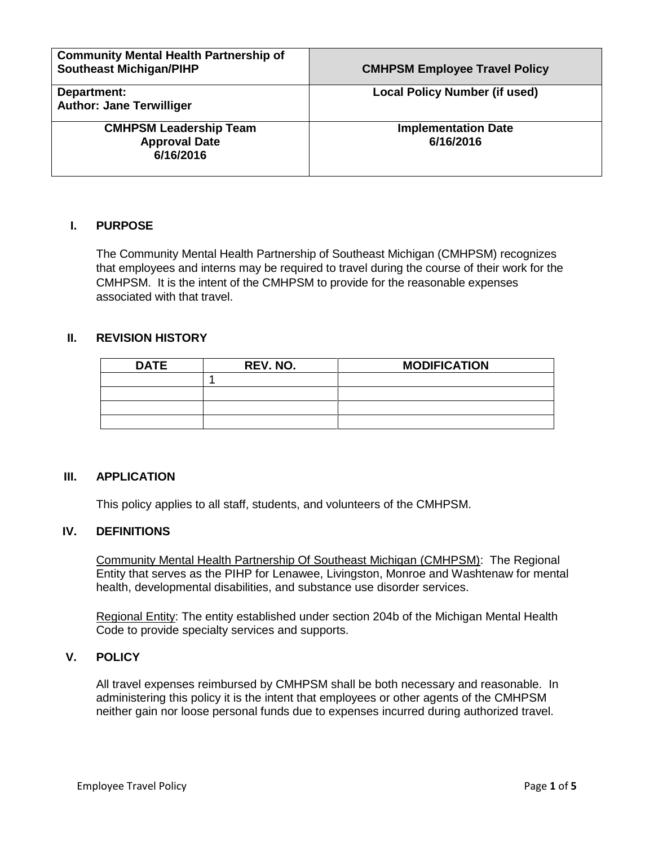| <b>Community Mental Health Partnership of</b><br><b>Southeast Michigan/PIHP</b> | <b>CMHPSM Employee Travel Policy</b>    |
|---------------------------------------------------------------------------------|-----------------------------------------|
| Department:<br><b>Author: Jane Terwilliger</b>                                  | <b>Local Policy Number (if used)</b>    |
| <b>CMHPSM Leadership Team</b><br><b>Approval Date</b><br>6/16/2016              | <b>Implementation Date</b><br>6/16/2016 |

# **I. PURPOSE**

The Community Mental Health Partnership of Southeast Michigan (CMHPSM) recognizes that employees and interns may be required to travel during the course of their work for the CMHPSM. It is the intent of the CMHPSM to provide for the reasonable expenses associated with that travel.

# **II. REVISION HISTORY**

| <b>DATE</b> | REV. NO. | <b>MODIFICATION</b> |
|-------------|----------|---------------------|
|             |          |                     |
|             |          |                     |
|             |          |                     |
|             |          |                     |

#### **III. APPLICATION**

This policy applies to all staff, students, and volunteers of the CMHPSM.

## **IV. DEFINITIONS**

Community Mental Health Partnership Of Southeast Michigan (CMHPSM): The Regional Entity that serves as the PIHP for Lenawee, Livingston, Monroe and Washtenaw for mental health, developmental disabilities, and substance use disorder services.

Regional Entity: The entity established under section 204b of the Michigan Mental Health Code to provide specialty services and supports.

# **V. POLICY**

All travel expenses reimbursed by CMHPSM shall be both necessary and reasonable. In administering this policy it is the intent that employees or other agents of the CMHPSM neither gain nor loose personal funds due to expenses incurred during authorized travel.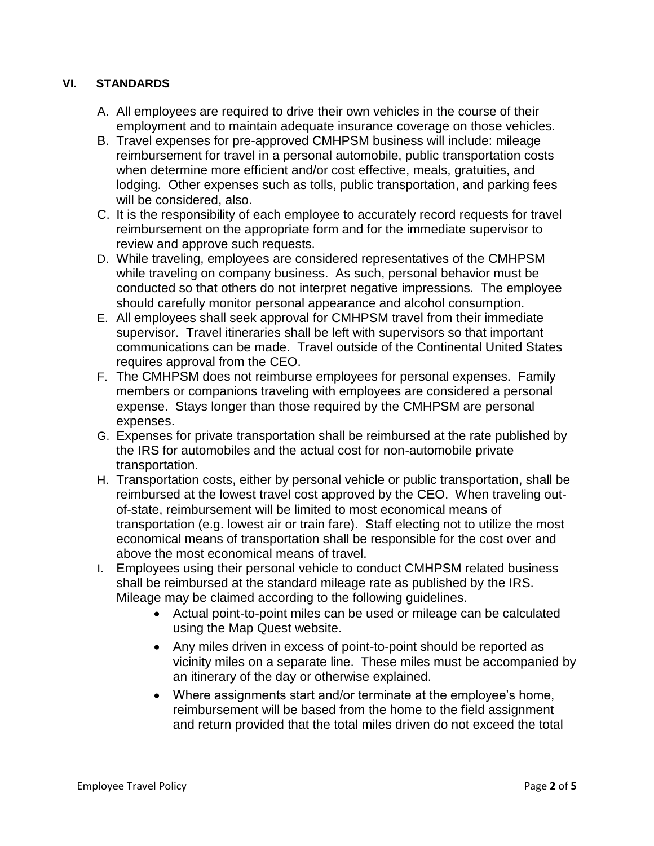# **VI. STANDARDS**

- A. All employees are required to drive their own vehicles in the course of their employment and to maintain adequate insurance coverage on those vehicles.
- B. Travel expenses for pre-approved CMHPSM business will include: mileage reimbursement for travel in a personal automobile, public transportation costs when determine more efficient and/or cost effective, meals, gratuities, and lodging. Other expenses such as tolls, public transportation, and parking fees will be considered, also.
- C. It is the responsibility of each employee to accurately record requests for travel reimbursement on the appropriate form and for the immediate supervisor to review and approve such requests.
- D. While traveling, employees are considered representatives of the CMHPSM while traveling on company business. As such, personal behavior must be conducted so that others do not interpret negative impressions. The employee should carefully monitor personal appearance and alcohol consumption.
- E. All employees shall seek approval for CMHPSM travel from their immediate supervisor. Travel itineraries shall be left with supervisors so that important communications can be made. Travel outside of the Continental United States requires approval from the CEO.
- F. The CMHPSM does not reimburse employees for personal expenses. Family members or companions traveling with employees are considered a personal expense. Stays longer than those required by the CMHPSM are personal expenses.
- G. Expenses for private transportation shall be reimbursed at the rate published by the IRS for automobiles and the actual cost for non-automobile private transportation.
- H. Transportation costs, either by personal vehicle or public transportation, shall be reimbursed at the lowest travel cost approved by the CEO. When traveling outof-state, reimbursement will be limited to most economical means of transportation (e.g. lowest air or train fare). Staff electing not to utilize the most economical means of transportation shall be responsible for the cost over and above the most economical means of travel.
- I. Employees using their personal vehicle to conduct CMHPSM related business shall be reimbursed at the standard mileage rate as published by the IRS. Mileage may be claimed according to the following guidelines.
	- Actual point-to-point miles can be used or mileage can be calculated using the Map Quest website.
	- Any miles driven in excess of point-to-point should be reported as vicinity miles on a separate line. These miles must be accompanied by an itinerary of the day or otherwise explained.
	- Where assignments start and/or terminate at the employee's home, reimbursement will be based from the home to the field assignment and return provided that the total miles driven do not exceed the total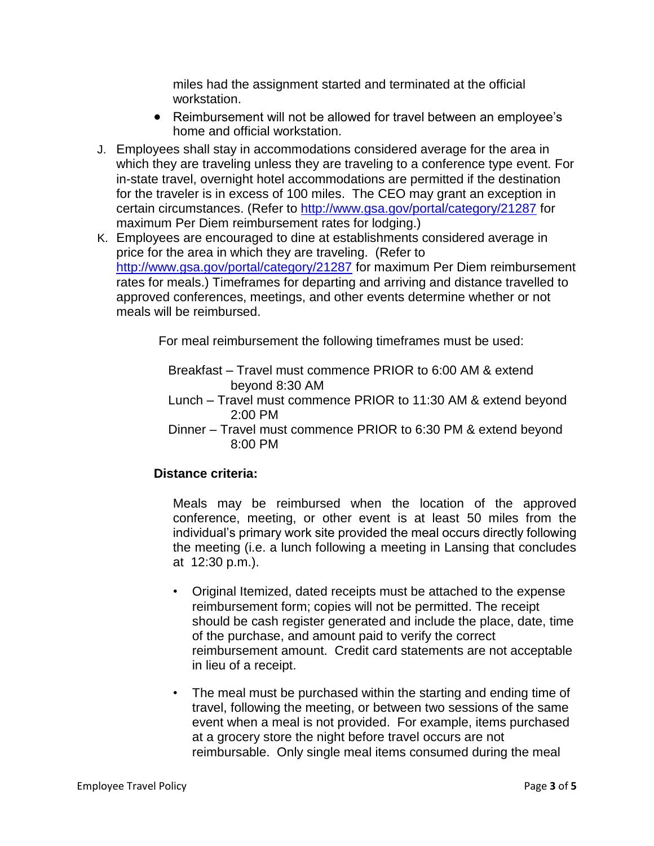miles had the assignment started and terminated at the official workstation.

- Reimbursement will not be allowed for travel between an employee's home and official workstation.
- J. Employees shall stay in accommodations considered average for the area in which they are traveling unless they are traveling to a conference type event. For in-state travel, overnight hotel accommodations are permitted if the destination for the traveler is in excess of 100 miles. The CEO may grant an exception in certain circumstances. (Refer to<http://www.gsa.gov/portal/category/21287> for maximum Per Diem reimbursement rates for lodging.)
- K. Employees are encouraged to dine at establishments considered average in price for the area in which they are traveling. (Refer to <http://www.gsa.gov/portal/category/21287> for maximum Per Diem reimbursement rates for meals.) Timeframes for departing and arriving and distance travelled to approved conferences, meetings, and other events determine whether or not meals will be reimbursed.

For meal reimbursement the following timeframes must be used:

- Breakfast Travel must commence PRIOR to 6:00 AM & extend beyond 8:30 AM
- Lunch Travel must commence PRIOR to 11:30 AM & extend beyond 2:00 PM
- Dinner Travel must commence PRIOR to 6:30 PM & extend beyond 8:00 PM

# **Distance criteria:**

Meals may be reimbursed when the location of the approved conference, meeting, or other event is at least 50 miles from the individual's primary work site provided the meal occurs directly following the meeting (i.e. a lunch following a meeting in Lansing that concludes at 12:30 p.m.).

- Original Itemized, dated receipts must be attached to the expense reimbursement form; copies will not be permitted. The receipt should be cash register generated and include the place, date, time of the purchase, and amount paid to verify the correct reimbursement amount. Credit card statements are not acceptable in lieu of a receipt.
- The meal must be purchased within the starting and ending time of travel, following the meeting, or between two sessions of the same event when a meal is not provided. For example, items purchased at a grocery store the night before travel occurs are not reimbursable. Only single meal items consumed during the meal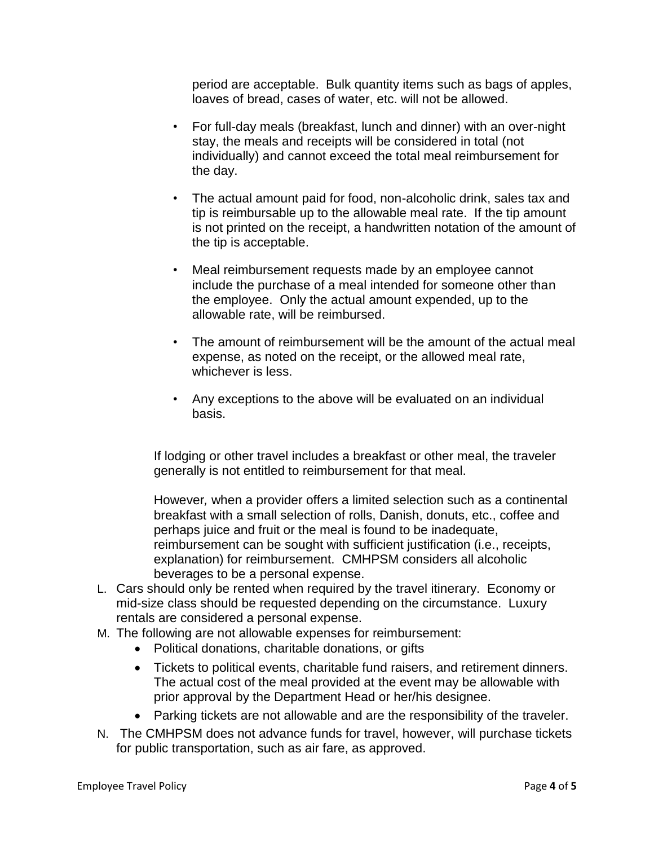period are acceptable. Bulk quantity items such as bags of apples, loaves of bread, cases of water, etc. will not be allowed.

- For full-day meals (breakfast, lunch and dinner) with an over-night stay, the meals and receipts will be considered in total (not individually) and cannot exceed the total meal reimbursement for the day.
- The actual amount paid for food, non-alcoholic drink, sales tax and tip is reimbursable up to the allowable meal rate. If the tip amount is not printed on the receipt, a handwritten notation of the amount of the tip is acceptable.
- Meal reimbursement requests made by an employee cannot include the purchase of a meal intended for someone other than the employee. Only the actual amount expended, up to the allowable rate, will be reimbursed.
- The amount of reimbursement will be the amount of the actual meal expense, as noted on the receipt, or the allowed meal rate, whichever is less.
- Any exceptions to the above will be evaluated on an individual basis.

If lodging or other travel includes a breakfast or other meal, the traveler generally is not entitled to reimbursement for that meal.

However*,* when a provider offers a limited selection such as a continental breakfast with a small selection of rolls, Danish, donuts, etc., coffee and perhaps juice and fruit or the meal is found to be inadequate, reimbursement can be sought with sufficient justification (i.e., receipts, explanation) for reimbursement. CMHPSM considers all alcoholic beverages to be a personal expense.

- L. Cars should only be rented when required by the travel itinerary. Economy or mid-size class should be requested depending on the circumstance. Luxury rentals are considered a personal expense.
- M. The following are not allowable expenses for reimbursement:
	- Political donations, charitable donations, or gifts
	- Tickets to political events, charitable fund raisers, and retirement dinners. The actual cost of the meal provided at the event may be allowable with prior approval by the Department Head or her/his designee.
	- Parking tickets are not allowable and are the responsibility of the traveler.
- N. The CMHPSM does not advance funds for travel, however, will purchase tickets for public transportation, such as air fare, as approved.